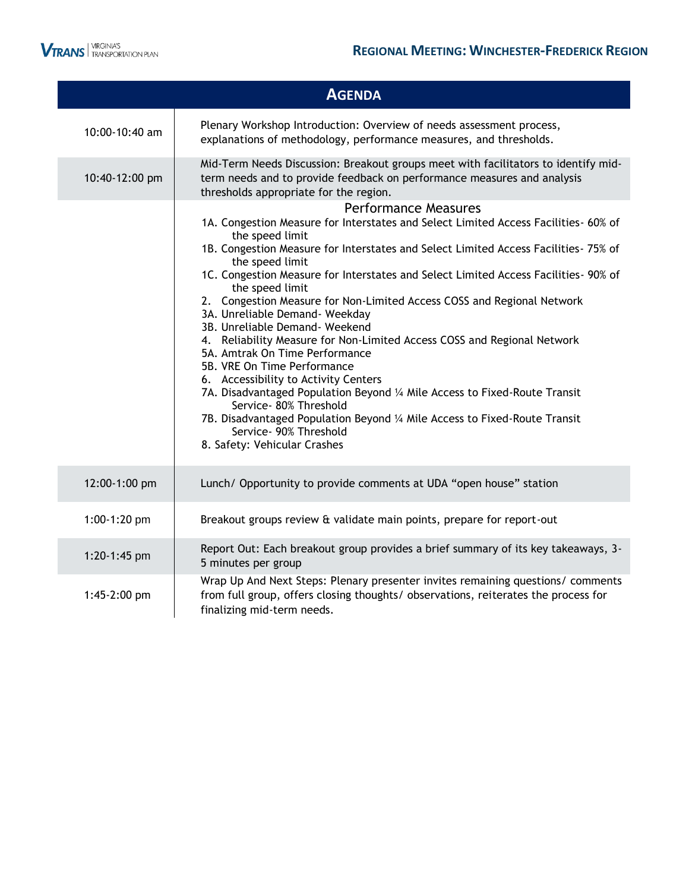

I

|                                | <b>AGENDA</b>                                                                                                                                                                                                                                                                                                                                                                                                                                                                                                                                                                                                                                                                                                                                                                                                                                                                                                                               |
|--------------------------------|---------------------------------------------------------------------------------------------------------------------------------------------------------------------------------------------------------------------------------------------------------------------------------------------------------------------------------------------------------------------------------------------------------------------------------------------------------------------------------------------------------------------------------------------------------------------------------------------------------------------------------------------------------------------------------------------------------------------------------------------------------------------------------------------------------------------------------------------------------------------------------------------------------------------------------------------|
| 10:00-10:40 am                 | Plenary Workshop Introduction: Overview of needs assessment process,<br>explanations of methodology, performance measures, and thresholds.                                                                                                                                                                                                                                                                                                                                                                                                                                                                                                                                                                                                                                                                                                                                                                                                  |
| 10:40-12:00 pm                 | Mid-Term Needs Discussion: Breakout groups meet with facilitators to identify mid-<br>term needs and to provide feedback on performance measures and analysis<br>thresholds appropriate for the region.                                                                                                                                                                                                                                                                                                                                                                                                                                                                                                                                                                                                                                                                                                                                     |
|                                | <b>Performance Measures</b><br>1A. Congestion Measure for Interstates and Select Limited Access Facilities- 60% of<br>the speed limit<br>1B. Congestion Measure for Interstates and Select Limited Access Facilities- 75% of<br>the speed limit<br>1C. Congestion Measure for Interstates and Select Limited Access Facilities- 90% of<br>the speed limit<br>2. Congestion Measure for Non-Limited Access COSS and Regional Network<br>3A. Unreliable Demand- Weekday<br>3B. Unreliable Demand- Weekend<br>4. Reliability Measure for Non-Limited Access COSS and Regional Network<br>5A. Amtrak On Time Performance<br>5B. VRE On Time Performance<br>6. Accessibility to Activity Centers<br>7A. Disadvantaged Population Beyond 1/4 Mile Access to Fixed-Route Transit<br>Service- 80% Threshold<br>7B. Disadvantaged Population Beyond 1/4 Mile Access to Fixed-Route Transit<br>Service- 90% Threshold<br>8. Safety: Vehicular Crashes |
| 12:00-1:00 pm                  | Lunch/ Opportunity to provide comments at UDA "open house" station                                                                                                                                                                                                                                                                                                                                                                                                                                                                                                                                                                                                                                                                                                                                                                                                                                                                          |
| 1:00-1:20 pm                   | Breakout groups review & validate main points, prepare for report-out                                                                                                                                                                                                                                                                                                                                                                                                                                                                                                                                                                                                                                                                                                                                                                                                                                                                       |
| 1:20-1:45 pm<br>$1:45-2:00$ pm | Report Out: Each breakout group provides a brief summary of its key takeaways, 3-<br>5 minutes per group<br>Wrap Up And Next Steps: Plenary presenter invites remaining questions/ comments<br>from full group, offers closing thoughts/ observations, reiterates the process for                                                                                                                                                                                                                                                                                                                                                                                                                                                                                                                                                                                                                                                           |
|                                | finalizing mid-term needs.                                                                                                                                                                                                                                                                                                                                                                                                                                                                                                                                                                                                                                                                                                                                                                                                                                                                                                                  |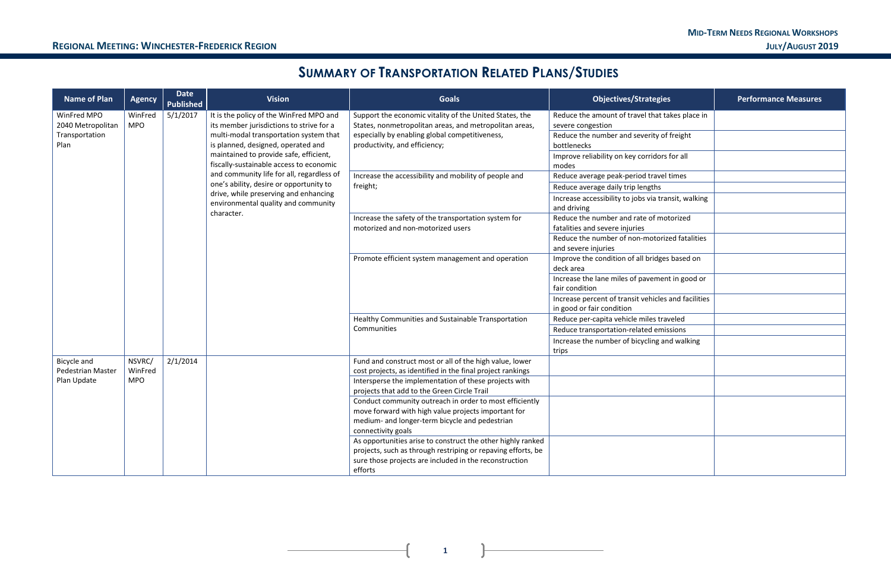| gies                | <b>Performance Measures</b> |
|---------------------|-----------------------------|
| at takes place in   |                             |
| y of freight        |                             |
| lors for all        |                             |
| avel times          |                             |
| าร                  |                             |
| transit, walking    |                             |
| motorized           |                             |
| orized fatalities   |                             |
| dges based on       |                             |
| ment in good or     |                             |
| cles and facilities |                             |
| traveled            |                             |
| emissions           |                             |
| g and walking       |                             |
|                     |                             |
|                     |                             |
|                     |                             |
|                     |                             |
|                     |                             |
|                     |                             |

## **SUMMARY OF TRANSPORTATION RELATED PLANS/STUDIES**

| <b>Name of Plan</b>                     | <b>Agency</b>         | <b>Date</b><br><b>Published</b> | <b>Vision</b>                                                                       | <b>Goals</b>                                                                                                        | <b>Objectives/Strategies</b>                                                     | <b>Performance Measures</b> |
|-----------------------------------------|-----------------------|---------------------------------|-------------------------------------------------------------------------------------|---------------------------------------------------------------------------------------------------------------------|----------------------------------------------------------------------------------|-----------------------------|
| WinFred MPO<br>2040 Metropolitan        | WinFred<br><b>MPO</b> | 5/1/2017                        | It is the policy of the WinFred MPO and<br>its member jurisdictions to strive for a | Support the economic vitality of the United States, the<br>States, nonmetropolitan areas, and metropolitan areas,   | Reduce the amount of travel that takes place in<br>severe congestion             |                             |
| Transportation<br>Plan                  |                       |                                 | multi-modal transportation system that<br>is planned, designed, operated and        | especially by enabling global competitiveness,<br>productivity, and efficiency;                                     | Reduce the number and severity of freight<br>bottlenecks                         |                             |
|                                         |                       |                                 | maintained to provide safe, efficient,<br>fiscally-sustainable access to economic   |                                                                                                                     | Improve reliability on key corridors for all<br>modes                            |                             |
|                                         |                       |                                 | and community life for all, regardless of                                           | Increase the accessibility and mobility of people and                                                               | Reduce average peak-period travel times                                          |                             |
|                                         |                       |                                 | one's ability, desire or opportunity to<br>drive, while preserving and enhancing    | freight;                                                                                                            | Reduce average daily trip lengths                                                |                             |
|                                         |                       |                                 | environmental quality and community                                                 |                                                                                                                     | Increase accessibility to jobs via transit, walking<br>and driving               |                             |
|                                         |                       |                                 | character.                                                                          | Increase the safety of the transportation system for<br>motorized and non-motorized users                           | Reduce the number and rate of motorized<br>fatalities and severe injuries        |                             |
|                                         |                       |                                 |                                                                                     |                                                                                                                     | Reduce the number of non-motorized fatalities<br>and severe injuries             |                             |
|                                         |                       |                                 |                                                                                     | Promote efficient system management and operation                                                                   | Improve the condition of all bridges based on<br>deck area                       |                             |
|                                         |                       |                                 |                                                                                     |                                                                                                                     | Increase the lane miles of pavement in good or<br>fair condition                 |                             |
|                                         |                       |                                 |                                                                                     |                                                                                                                     | Increase percent of transit vehicles and facilities<br>in good or fair condition |                             |
|                                         |                       |                                 |                                                                                     | Healthy Communities and Sustainable Transportation                                                                  | Reduce per-capita vehicle miles traveled                                         |                             |
|                                         |                       |                                 |                                                                                     | Communities                                                                                                         | Reduce transportation-related emissions                                          |                             |
|                                         |                       |                                 |                                                                                     |                                                                                                                     | Increase the number of bicycling and walking                                     |                             |
|                                         |                       |                                 |                                                                                     |                                                                                                                     | trips                                                                            |                             |
| Bicycle and                             | NSVRC/                | 2/1/2014                        |                                                                                     | Fund and construct most or all of the high value, lower                                                             |                                                                                  |                             |
| <b>Pedestrian Master</b><br>Plan Update | WinFred<br><b>MPO</b> |                                 |                                                                                     | cost projects, as identified in the final project rankings<br>Intersperse the implementation of these projects with |                                                                                  |                             |
|                                         |                       |                                 |                                                                                     | projects that add to the Green Circle Trail                                                                         |                                                                                  |                             |
|                                         |                       |                                 |                                                                                     | Conduct community outreach in order to most efficiently                                                             |                                                                                  |                             |
|                                         |                       |                                 | move forward with high value projects important for                                 |                                                                                                                     |                                                                                  |                             |
|                                         |                       |                                 |                                                                                     | medium- and longer-term bicycle and pedestrian                                                                      |                                                                                  |                             |
|                                         |                       |                                 |                                                                                     | connectivity goals                                                                                                  |                                                                                  |                             |
|                                         |                       |                                 |                                                                                     | As opportunities arise to construct the other highly ranked                                                         |                                                                                  |                             |
|                                         |                       |                                 |                                                                                     | projects, such as through restriping or repaving efforts, be                                                        |                                                                                  |                             |
|                                         |                       |                                 |                                                                                     | sure those projects are included in the reconstruction<br>efforts                                                   |                                                                                  |                             |
|                                         |                       |                                 |                                                                                     |                                                                                                                     |                                                                                  |                             |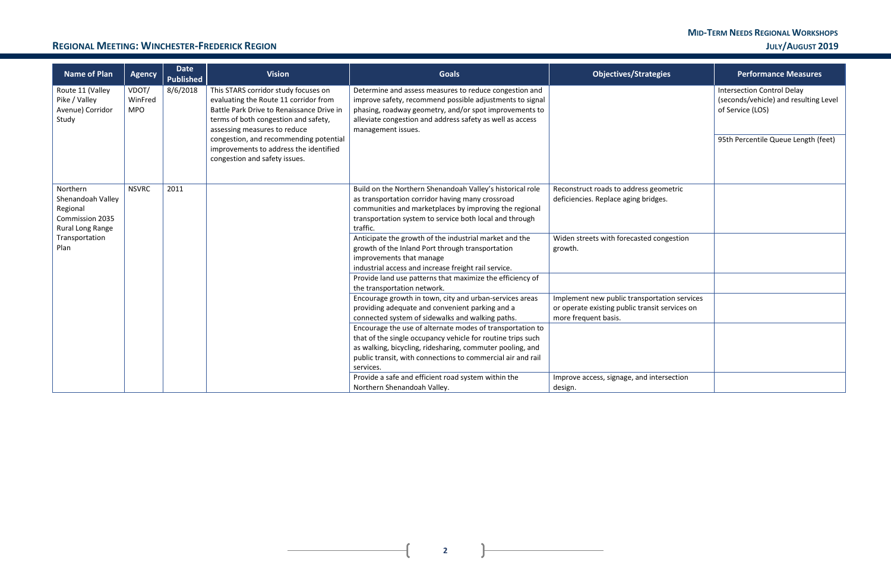#### **REGIONAL MEETING: WINCHESTER-FREDERICK REGION JULY/AUGUST 2019**

**2**

| tegies                               | <b>Performance Measures</b>                                                                    |
|--------------------------------------|------------------------------------------------------------------------------------------------|
|                                      | <b>Intersection Control Delay</b><br>(seconds/vehicle) and resulting Level<br>of Service (LOS) |
|                                      | 95th Percentile Queue Length (feet)                                                            |
| geometric<br>dges.                   |                                                                                                |
| congestion                           |                                                                                                |
| ortation services<br>sit services on |                                                                                                |
|                                      |                                                                                                |
| ntersection                          |                                                                                                |

| <b>Name of Plan</b>                                                                                        | <b>Agency</b>                  | <b>Date</b><br><b>Published</b> | <b>Vision</b>                                                                                                                                                                                                                                                                                                           | <b>Goals</b>                                                                                                                                                                                                                                                                                                                                                                                                                                                                                                                                             | <b>Objectives/Strategies</b>                                                                                                                                                   | <b>Performance Measures</b>                                                                                                 |
|------------------------------------------------------------------------------------------------------------|--------------------------------|---------------------------------|-------------------------------------------------------------------------------------------------------------------------------------------------------------------------------------------------------------------------------------------------------------------------------------------------------------------------|----------------------------------------------------------------------------------------------------------------------------------------------------------------------------------------------------------------------------------------------------------------------------------------------------------------------------------------------------------------------------------------------------------------------------------------------------------------------------------------------------------------------------------------------------------|--------------------------------------------------------------------------------------------------------------------------------------------------------------------------------|-----------------------------------------------------------------------------------------------------------------------------|
| Route 11 (Valley<br>Pike / Valley<br>Avenue) Corridor<br>Study                                             | VDOT/<br>WinFred<br><b>MPO</b> | 8/6/2018                        | This STARS corridor study focuses on<br>evaluating the Route 11 corridor from<br>Battle Park Drive to Renaissance Drive in<br>terms of both congestion and safety,<br>assessing measures to reduce<br>congestion, and recommending potential<br>improvements to address the identified<br>congestion and safety issues. | Determine and assess measures to reduce congestion and<br>improve safety, recommend possible adjustments to signal<br>phasing, roadway geometry, and/or spot improvements to<br>alleviate congestion and address safety as well as access<br>management issues.                                                                                                                                                                                                                                                                                          |                                                                                                                                                                                | <b>Intersection Control Delay</b><br>(seconds/vehicle) and resulting<br>of Service (LOS)<br>95th Percentile Queue Length (f |
| Northern<br>Shenandoah Valley<br>Regional<br>Commission 2035<br>Rural Long Range<br>Transportation<br>Plan | <b>NSVRC</b>                   | 2011                            |                                                                                                                                                                                                                                                                                                                         | Build on the Northern Shenandoah Valley's historical role<br>as transportation corridor having many crossroad<br>communities and marketplaces by improving the regional<br>transportation system to service both local and through<br>traffic.<br>Anticipate the growth of the industrial market and the<br>growth of the Inland Port through transportation<br>improvements that manage<br>industrial access and increase freight rail service.<br>Provide land use patterns that maximize the efficiency of                                            | Reconstruct roads to address geometric<br>deficiencies. Replace aging bridges.<br>Widen streets with forecasted congestion<br>growth.                                          |                                                                                                                             |
|                                                                                                            |                                |                                 |                                                                                                                                                                                                                                                                                                                         | the transportation network.<br>Encourage growth in town, city and urban-services areas<br>providing adequate and convenient parking and a<br>connected system of sidewalks and walking paths.<br>Encourage the use of alternate modes of transportation to<br>that of the single occupancy vehicle for routine trips such<br>as walking, bicycling, ridesharing, commuter pooling, and<br>public transit, with connections to commercial air and rail<br>services.<br>Provide a safe and efficient road system within the<br>Northern Shenandoah Valley. | Implement new public transportation services<br>or operate existing public transit services on<br>more frequent basis.<br>Improve access, signage, and intersection<br>design. |                                                                                                                             |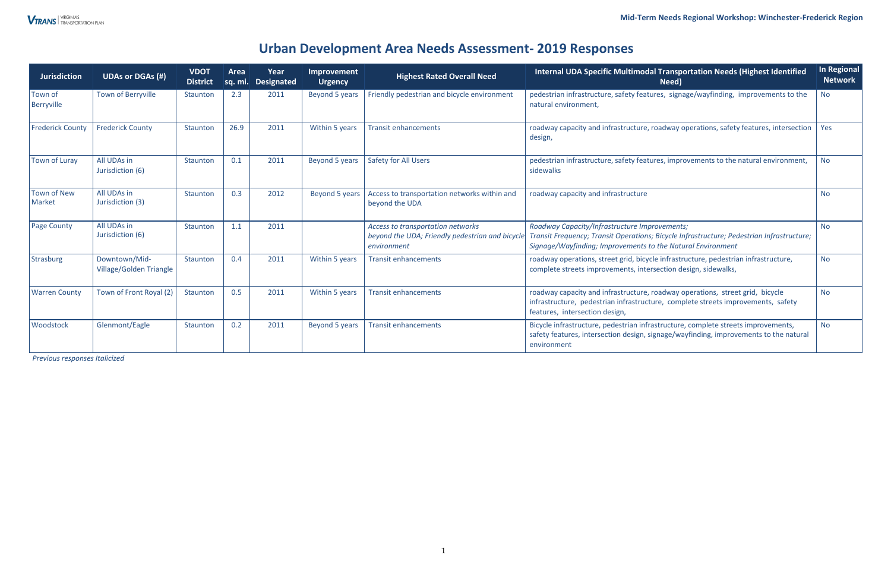#### **Mid-Term Needs Regional Workshop: Winchester-Frederick Region**

### **Urban Development Area Needs Assessment- 2019 Responses**

*Previous responses Italicized* 

| <b>Jurisdiction</b>     | <b>UDAs or DGAs (#)</b>                         | <b>VDOT</b><br><b>District</b> | Area<br>Sq. mi. | Year<br><b>Designated</b> | Improvement<br><b>Urgency</b> | <b>Highest Rated Overall Need</b>                                                                   | <b>Internal UDA Specific Multimodal Transportation Needs (Highest Identified</b><br>Need)                                                                                                                 | In Regional<br>Network |
|-------------------------|-------------------------------------------------|--------------------------------|-----------------|---------------------------|-------------------------------|-----------------------------------------------------------------------------------------------------|-----------------------------------------------------------------------------------------------------------------------------------------------------------------------------------------------------------|------------------------|
| Town of<br>Berryville   | <b>Town of Berryville</b>                       | Staunton                       | 2.3             | 2011                      | Beyond 5 years                | Friendly pedestrian and bicycle environment                                                         | pedestrian infrastructure, safety features, signage/wayfinding, improvements to the<br>natural environment,                                                                                               | <b>No</b>              |
| <b>Frederick County</b> | <b>Frederick County</b>                         | Staunton                       | 26.9            | 2011                      | Within 5 years                | <b>Transit enhancements</b>                                                                         | roadway capacity and infrastructure, roadway operations, safety features, intersection<br>design,                                                                                                         | Yes                    |
| Town of Luray           | All UDAs in<br>Jurisdiction (6)                 | Staunton                       | 0.1             | 2011                      | Beyond 5 years                | <b>Safety for All Users</b>                                                                         | pedestrian infrastructure, safety features, improvements to the natural environment,<br>sidewalks                                                                                                         |                        |
| Town of New<br>Market   | All UDAs in<br>Jurisdiction (3)                 | Staunton                       | 0.3             | 2012                      | Beyond 5 years                | Access to transportation networks within and<br>beyond the UDA                                      | roadway capacity and infrastructure                                                                                                                                                                       |                        |
| <b>Page County</b>      | All UDAs in<br>Jurisdiction (6)                 | <b>Staunton</b>                | 1.1             | 2011                      |                               | Access to transportation networks<br>beyond the UDA; Friendly pedestrian and bicycle<br>environment | Roadway Capacity/Infrastructure Improvements;<br>Transit Frequency; Transit Operations; Bicycle Infrastructure; Pedestrian Infrastructure;<br>Signage/Wayfinding; Improvements to the Natural Environment | <b>No</b>              |
| Strasburg               | Downtown/Mid-<br><b>Village/Golden Triangle</b> | Staunton                       | 0.4             | 2011                      | Within 5 years                | <b>Transit enhancements</b>                                                                         | roadway operations, street grid, bicycle infrastructure, pedestrian infrastructure,<br>complete streets improvements, intersection design, sidewalks,                                                     | <b>No</b>              |
| <b>Warren County</b>    | Town of Front Royal (2)                         | Staunton                       | 0.5             | 2011                      | Within 5 years                | <b>Transit enhancements</b>                                                                         | roadway capacity and infrastructure, roadway operations, street grid, bicycle<br>infrastructure, pedestrian infrastructure, complete streets improvements, safety<br>features, intersection design,       |                        |
| <b>Woodstock</b>        | Glenmont/Eagle                                  | Staunton                       | 0.2             | 2011                      | Beyond 5 years                | <b>Transit enhancements</b>                                                                         | Bicycle infrastructure, pedestrian infrastructure, complete streets improvements,<br>safety features, intersection design, signage/wayfinding, improvements to the natural<br>environment                 | <b>No</b>              |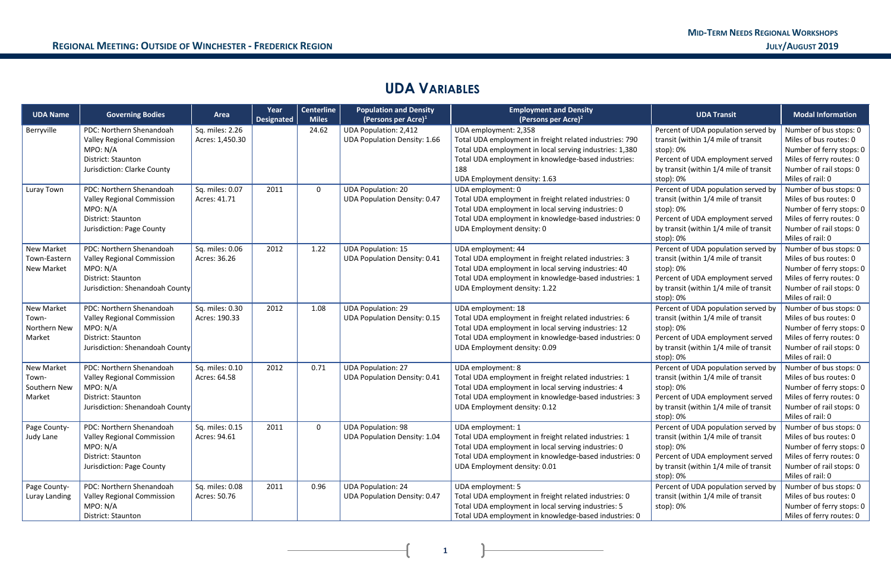## **UDA VARIABLES**

| <b>UDA Name</b>                                      | <b>Governing Bodies</b>                                                                                                                   | Area                               | Year<br><b>Designated</b> | <b>Centerline</b><br><b>Miles</b> | <b>Population and Density</b><br>(Persons per Acre) $1$             | <b>Employment and Density</b><br>(Persons per Acre) <sup>2</sup>                                                                                                                                                                          | <b>UDA Transit</b>                                                                                                                                                                 | <b>Modal Information</b>                                                                                                                                  |
|------------------------------------------------------|-------------------------------------------------------------------------------------------------------------------------------------------|------------------------------------|---------------------------|-----------------------------------|---------------------------------------------------------------------|-------------------------------------------------------------------------------------------------------------------------------------------------------------------------------------------------------------------------------------------|------------------------------------------------------------------------------------------------------------------------------------------------------------------------------------|-----------------------------------------------------------------------------------------------------------------------------------------------------------|
| Berryville                                           | PDC: Northern Shenandoah<br><b>Valley Regional Commission</b><br>MPO: N/A<br>District: Staunton<br>Jurisdiction: Clarke County            | Sq. miles: 2.26<br>Acres: 1,450.30 |                           | 24.62                             | <b>UDA Population: 2,412</b><br><b>UDA Population Density: 1.66</b> | UDA employment: 2,358<br>Total UDA employment in freight related industries: 790<br>Total UDA employment in local serving industries: 1,380<br>Total UDA employment in knowledge-based industries:<br>188<br>UDA Employment density: 1.63 | Percent of UDA population served by<br>transit (within 1/4 mile of transit<br>stop): 0%<br>Percent of UDA employment served<br>by transit (within 1/4 mile of transit<br>stop): 0% | Number of bus stops: 0<br>Miles of bus routes: 0<br>Number of ferry stops: 0<br>Miles of ferry routes: 0<br>Number of rail stops: 0<br>Miles of rail: 0   |
| Luray Town                                           | PDC: Northern Shenandoah<br><b>Valley Regional Commission</b><br>MPO: N/A<br>District: Staunton<br>Jurisdiction: Page County              | Sq. miles: 0.07<br>Acres: 41.71    | 2011                      | $\mathbf{0}$                      | <b>UDA Population: 20</b><br><b>UDA Population Density: 0.47</b>    | UDA employment: 0<br>Total UDA employment in freight related industries: 0<br>Total UDA employment in local serving industries: 0<br>Total UDA employment in knowledge-based industries: 0<br>UDA Employment density: 0                   | Percent of UDA population served by<br>transit (within 1/4 mile of transit<br>stop): 0%<br>Percent of UDA employment served<br>by transit (within 1/4 mile of transit<br>stop): 0% | Number of bus stops: 0<br>Miles of bus routes: 0<br>Number of ferry stops: 0<br>Miles of ferry routes: 0<br>Number of rail stops: 0<br>Miles of rail: 0   |
| <b>New Market</b><br>Town-Eastern<br>New Market      | PDC: Northern Shenandoah<br><b>Valley Regional Commission</b><br>MPO: N/A<br><b>District: Staunton</b><br>Jurisdiction: Shenandoah County | Sq. miles: 0.06<br>Acres: 36.26    | 2012                      | 1.22                              | <b>UDA Population: 15</b><br><b>UDA Population Density: 0.41</b>    | UDA employment: 44<br>Total UDA employment in freight related industries: 3<br>Total UDA employment in local serving industries: 40<br>Total UDA employment in knowledge-based industries: 1<br>UDA Employment density: 1.22              | Percent of UDA population served by<br>transit (within 1/4 mile of transit<br>stop): 0%<br>Percent of UDA employment served<br>by transit (within 1/4 mile of transit<br>stop): 0% | Number of bus stops: 0<br>Miles of bus routes: 0<br>Number of ferry stops: 0<br>Miles of ferry routes: 0<br>Number of rail stops: 0<br>Miles of rail: 0   |
| <b>New Market</b><br>Town-<br>Northern New<br>Market | PDC: Northern Shenandoah<br><b>Valley Regional Commission</b><br>MPO: N/A<br>District: Staunton<br>Jurisdiction: Shenandoah County        | Sq. miles: 0.30<br>Acres: 190.33   | 2012                      | 1.08                              | <b>UDA Population: 29</b><br><b>UDA Population Density: 0.15</b>    | UDA employment: 18<br>Total UDA employment in freight related industries: 6<br>Total UDA employment in local serving industries: 12<br>Total UDA employment in knowledge-based industries: 0<br>UDA Employment density: 0.09              | Percent of UDA population served by<br>transit (within 1/4 mile of transit<br>stop): 0%<br>Percent of UDA employment served<br>by transit (within 1/4 mile of transit<br>stop): 0% | Number of bus stops: 0<br>Miles of bus routes: 0<br>Number of ferry stops: 0<br>Miles of ferry routes: 0<br>Number of rail stops: 0<br>Miles of rail: 0   |
| <b>New Market</b><br>Town-<br>Southern New<br>Market | PDC: Northern Shenandoah<br><b>Valley Regional Commission</b><br>MPO: N/A<br><b>District: Staunton</b><br>Jurisdiction: Shenandoah County | Sq. miles: 0.10<br>Acres: 64.58    | 2012                      | 0.71                              | <b>UDA Population: 27</b><br><b>UDA Population Density: 0.41</b>    | UDA employment: 8<br>Total UDA employment in freight related industries: 1<br>Total UDA employment in local serving industries: 4<br>Total UDA employment in knowledge-based industries: 3<br>UDA Employment density: 0.12                | Percent of UDA population served by<br>transit (within 1/4 mile of transit<br>stop): 0%<br>Percent of UDA employment served<br>by transit (within 1/4 mile of transit<br>stop): 0% | Number of bus stops: 0<br>Miles of bus routes: 0<br>Number of ferry stops: 0  <br>Miles of ferry routes: 0<br>Number of rail stops: 0<br>Miles of rail: 0 |
| Page County-<br>Judy Lane                            | PDC: Northern Shenandoah<br><b>Valley Regional Commission</b><br>MPO: N/A<br>District: Staunton<br>Jurisdiction: Page County              | Sq. miles: 0.15<br>Acres: 94.61    | 2011                      | $\mathbf{0}$                      | <b>UDA Population: 98</b><br><b>UDA Population Density: 1.04</b>    | UDA employment: 1<br>Total UDA employment in freight related industries: 1<br>Total UDA employment in local serving industries: 0<br>Total UDA employment in knowledge-based industries: 0<br>UDA Employment density: 0.01                | Percent of UDA population served by<br>transit (within 1/4 mile of transit<br>stop): 0%<br>Percent of UDA employment served<br>by transit (within 1/4 mile of transit<br>stop): 0% | Number of bus stops: 0<br>Miles of bus routes: 0<br>Number of ferry stops: 0  <br>Miles of ferry routes: 0<br>Number of rail stops: 0<br>Miles of rail: 0 |
| Page County-<br>Luray Landing                        | PDC: Northern Shenandoah<br><b>Valley Regional Commission</b><br>MPO: N/A<br>District: Staunton                                           | Sq. miles: 0.08<br>Acres: 50.76    | 2011                      | 0.96                              | <b>UDA Population: 24</b><br><b>UDA Population Density: 0.47</b>    | UDA employment: 5<br>Total UDA employment in freight related industries: 0<br>Total UDA employment in local serving industries: 5<br>Total UDA employment in knowledge-based industries: 0                                                | Percent of UDA population served by<br>transit (within 1/4 mile of transit<br>stop): 0%                                                                                            | Number of bus stops: 0<br>Miles of bus routes: 0<br>Number of ferry stops: 0<br>Miles of ferry routes: 0                                                  |

**1 1 1 1**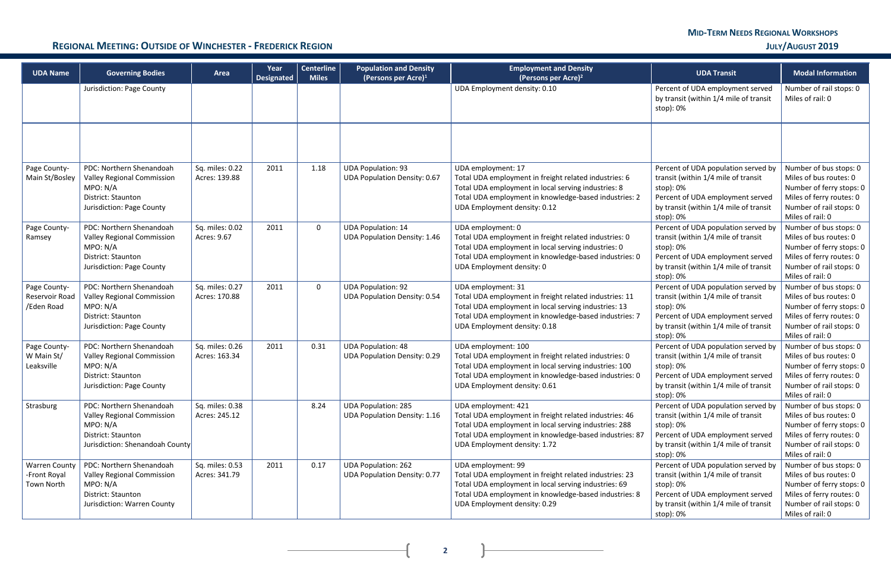**2**

#### **REGIONAL MEETING: OUTSIDE OF WINCHESTER - FREDERICK REGION <b>DEEP ARELY ACCOUNT 2019**

| <b>UDA Name</b>                                    | <b>Governing Bodies</b>                                                                                                            | Area                             | Year<br><b>Designated</b> | <b>Centerline</b><br><b>Miles</b> | <b>Population and Density</b><br>(Persons per Acre) <sup>1</sup>  | <b>Employment and Density</b><br>(Persons per Acre) <sup>2</sup>                                                                                                                                                                 | <b>UDA Transit</b>                                                                                                                                                                 | <b>Modal Information</b>                                                                                                                                |
|----------------------------------------------------|------------------------------------------------------------------------------------------------------------------------------------|----------------------------------|---------------------------|-----------------------------------|-------------------------------------------------------------------|----------------------------------------------------------------------------------------------------------------------------------------------------------------------------------------------------------------------------------|------------------------------------------------------------------------------------------------------------------------------------------------------------------------------------|---------------------------------------------------------------------------------------------------------------------------------------------------------|
|                                                    | Jurisdiction: Page County                                                                                                          |                                  |                           |                                   |                                                                   | UDA Employment density: 0.10                                                                                                                                                                                                     | Percent of UDA employment served<br>by transit (within 1/4 mile of transit<br>stop): 0%                                                                                            | Number of rail stops: 0<br>Miles of rail: 0                                                                                                             |
|                                                    |                                                                                                                                    |                                  |                           |                                   |                                                                   |                                                                                                                                                                                                                                  |                                                                                                                                                                                    |                                                                                                                                                         |
| Page County-<br>Main St/Bosley                     | PDC: Northern Shenandoah<br><b>Valley Regional Commission</b><br>MPO: N/A<br>District: Staunton<br>Jurisdiction: Page County       | Sq. miles: 0.22<br>Acres: 139.88 | 2011                      | 1.18                              | <b>UDA Population: 93</b><br><b>UDA Population Density: 0.67</b>  | UDA employment: 17<br>Total UDA employment in freight related industries: 6<br>Total UDA employment in local serving industries: 8<br>Total UDA employment in knowledge-based industries: 2<br>UDA Employment density: 0.12      | Percent of UDA population served by<br>transit (within 1/4 mile of transit<br>stop): 0%<br>Percent of UDA employment served<br>by transit (within 1/4 mile of transit<br>stop): 0% | Number of bus stops: 0<br>Miles of bus routes: 0<br>Number of ferry stops: 0<br>Miles of ferry routes: 0<br>Number of rail stops: 0<br>Miles of rail: 0 |
| Page County-<br>Ramsey                             | PDC: Northern Shenandoah<br><b>Valley Regional Commission</b><br>MPO: N/A<br>District: Staunton<br>Jurisdiction: Page County       | Sq. miles: 0.02<br>Acres: 9.67   | 2011                      | $\mathbf 0$                       | <b>UDA Population: 14</b><br><b>UDA Population Density: 1.46</b>  | UDA employment: 0<br>Total UDA employment in freight related industries: 0<br>Total UDA employment in local serving industries: 0<br>Total UDA employment in knowledge-based industries: 0<br>UDA Employment density: 0          | Percent of UDA population served by<br>transit (within 1/4 mile of transit<br>stop): 0%<br>Percent of UDA employment served<br>by transit (within 1/4 mile of transit<br>stop): 0% | Number of bus stops: 0<br>Miles of bus routes: 0<br>Number of ferry stops: 0<br>Miles of ferry routes: 0<br>Number of rail stops: 0<br>Miles of rail: 0 |
| Page County-<br>Reservoir Road<br>/Eden Road       | PDC: Northern Shenandoah<br><b>Valley Regional Commission</b><br>MPO: N/A<br>District: Staunton<br>Jurisdiction: Page County       | Sq. miles: 0.27<br>Acres: 170.88 | 2011                      | $\mathbf 0$                       | <b>UDA Population: 92</b><br><b>UDA Population Density: 0.54</b>  | UDA employment: 31<br>Total UDA employment in freight related industries: 11<br>Total UDA employment in local serving industries: 13<br>Total UDA employment in knowledge-based industries: 7<br>UDA Employment density: 0.18    | Percent of UDA population served by<br>transit (within 1/4 mile of transit<br>stop): 0%<br>Percent of UDA employment served<br>by transit (within 1/4 mile of transit<br>stop): 0% | Number of bus stops: 0<br>Miles of bus routes: 0<br>Number of ferry stops: 0<br>Miles of ferry routes: 0<br>Number of rail stops: 0<br>Miles of rail: 0 |
| Page County-<br>W Main St/<br>Leaksville           | PDC: Northern Shenandoah<br>Valley Regional Commission<br>MPO: N/A<br>District: Staunton<br>Jurisdiction: Page County              | Sq. miles: 0.26<br>Acres: 163.34 | 2011                      | 0.31                              | <b>UDA Population: 48</b><br><b>UDA Population Density: 0.29</b>  | UDA employment: 100<br>Total UDA employment in freight related industries: 0<br>Total UDA employment in local serving industries: 100<br>Total UDA employment in knowledge-based industries: 0<br>UDA Employment density: 0.61   | Percent of UDA population served by<br>transit (within 1/4 mile of transit<br>stop): 0%<br>Percent of UDA employment served<br>by transit (within 1/4 mile of transit<br>stop): 0% | Number of bus stops: 0<br>Miles of bus routes: 0<br>Number of ferry stops: 0<br>Miles of ferry routes: 0<br>Number of rail stops: 0<br>Miles of rail: 0 |
| Strasburg                                          | PDC: Northern Shenandoah<br><b>Valley Regional Commission</b><br>MPO: N/A<br>District: Staunton<br>Jurisdiction: Shenandoah County | Sq. miles: 0.38<br>Acres: 245.12 |                           | 8.24                              | <b>UDA Population: 285</b><br><b>UDA Population Density: 1.16</b> | UDA employment: 421<br>Total UDA employment in freight related industries: 46<br>Total UDA employment in local serving industries: 288<br>Total UDA employment in knowledge-based industries: 87<br>UDA Employment density: 1.72 | Percent of UDA population served by<br>transit (within 1/4 mile of transit<br>stop): 0%<br>Percent of UDA employment served<br>by transit (within 1/4 mile of transit<br>stop): 0% | Number of bus stops: 0<br>Miles of bus routes: 0<br>Number of ferry stops: 0<br>Miles of ferry routes: 0<br>Number of rail stops: 0<br>Miles of rail: 0 |
| <b>Warren County</b><br>-Front Royal<br>Town North | PDC: Northern Shenandoah<br><b>Valley Regional Commission</b><br>MPO: N/A<br>District: Staunton<br>Jurisdiction: Warren County     | Sq. miles: 0.53<br>Acres: 341.79 | 2011                      | 0.17                              | <b>UDA Population: 262</b><br><b>UDA Population Density: 0.77</b> | UDA employment: 99<br>Total UDA employment in freight related industries: 23<br>Total UDA employment in local serving industries: 69<br>Total UDA employment in knowledge-based industries: 8<br>UDA Employment density: 0.29    | Percent of UDA population served by<br>transit (within 1/4 mile of transit<br>stop): 0%<br>Percent of UDA employment served<br>by transit (within 1/4 mile of transit<br>stop): 0% | Number of bus stops: 0<br>Miles of bus routes: 0<br>Number of ferry stops: 0<br>Miles of ferry routes: 0<br>Number of rail stops: 0<br>Miles of rail: 0 |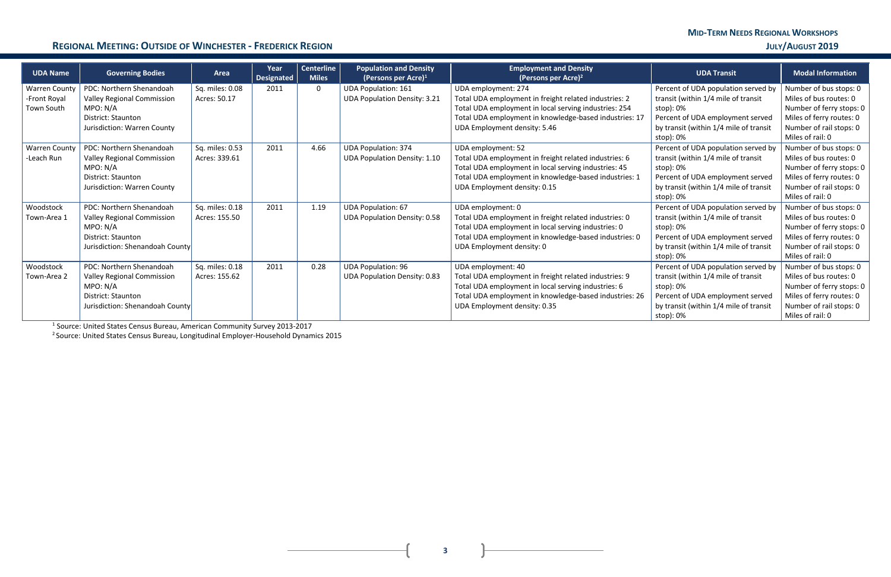#### **REGIONAL MEETING: OUTSIDE OF WINCHESTER - FREDERICK REGION <b>DEVICES DEVICES CONTEXTS JULY** *JULY* **AUGUST 2019**

| <b>UDA Name</b>      | <b>Governing Bodies</b>           | Area            | Year<br><b>Designated</b> | <b>Centerline</b><br><b>Miles</b> | <b>Population and Density</b><br>(Persons per Acre) $1$ | <b>Employment and Density</b><br>(Persons per Acre) <sup>2</sup> | <b>UDA Transit</b>                     | <b>Modal Information</b> |
|----------------------|-----------------------------------|-----------------|---------------------------|-----------------------------------|---------------------------------------------------------|------------------------------------------------------------------|----------------------------------------|--------------------------|
| <b>Warren County</b> | PDC: Northern Shenandoah          | Sq. miles: 0.08 | 2011                      | 0                                 | <b>UDA Population: 161</b>                              | UDA employment: 274                                              | Percent of UDA population served by    | Number of bus stops: 0   |
| -Front Royal         | <b>Valley Regional Commission</b> | Acres: 50.17    |                           |                                   | <b>UDA Population Density: 3.21</b>                     | Total UDA employment in freight related industries: 2            | transit (within 1/4 mile of transit    | Miles of bus routes: 0   |
| Town South           | MPO: N/A                          |                 |                           |                                   |                                                         | Total UDA employment in local serving industries: 254            | stop): 0%                              | Number of ferry stops: 0 |
|                      | <b>District: Staunton</b>         |                 |                           |                                   |                                                         | Total UDA employment in knowledge-based industries: 17           | Percent of UDA employment served       | Miles of ferry routes: 0 |
|                      | Jurisdiction: Warren County       |                 |                           |                                   |                                                         | UDA Employment density: 5.46                                     | by transit (within 1/4 mile of transit | Number of rail stops: 0  |
|                      |                                   |                 |                           |                                   |                                                         |                                                                  | stop): 0%                              | Miles of rail: 0         |
| <b>Warren County</b> | PDC: Northern Shenandoah          | Sq. miles: 0.53 | 2011                      | 4.66                              | <b>UDA Population: 374</b>                              | UDA employment: 52                                               | Percent of UDA population served by    | Number of bus stops: 0   |
| -Leach Run           | <b>Valley Regional Commission</b> | Acres: 339.61   |                           |                                   | <b>UDA Population Density: 1.10</b>                     | Total UDA employment in freight related industries: 6            | transit (within 1/4 mile of transit    | Miles of bus routes: 0   |
|                      | MPO: N/A                          |                 |                           |                                   |                                                         | Total UDA employment in local serving industries: 45             | stop): 0%                              | Number of ferry stops: 0 |
|                      | <b>District: Staunton</b>         |                 |                           |                                   |                                                         | Total UDA employment in knowledge-based industries: 1            | Percent of UDA employment served       | Miles of ferry routes: 0 |
|                      | Jurisdiction: Warren County       |                 |                           |                                   |                                                         | UDA Employment density: 0.15                                     | by transit (within 1/4 mile of transit | Number of rail stops: 0  |
|                      |                                   |                 |                           |                                   |                                                         |                                                                  | stop): 0%                              | Miles of rail: 0         |
| Woodstock            | PDC: Northern Shenandoah          | Sq. miles: 0.18 | 2011                      | 1.19                              | <b>UDA Population: 67</b>                               | UDA employment: 0                                                | Percent of UDA population served by    | Number of bus stops: 0   |
| Town-Area 1          | <b>Valley Regional Commission</b> | Acres: 155.50   |                           |                                   | <b>UDA Population Density: 0.58</b>                     | Total UDA employment in freight related industries: 0            | transit (within 1/4 mile of transit    | Miles of bus routes: 0   |
|                      | MPO: N/A                          |                 |                           |                                   |                                                         | Total UDA employment in local serving industries: 0              | stop): 0%                              | Number of ferry stops: 0 |
|                      | <b>District: Staunton</b>         |                 |                           |                                   |                                                         | Total UDA employment in knowledge-based industries: 0            | Percent of UDA employment served       | Miles of ferry routes: 0 |
|                      | Jurisdiction: Shenandoah County   |                 |                           |                                   |                                                         | UDA Employment density: 0                                        | by transit (within 1/4 mile of transit | Number of rail stops: 0  |
|                      |                                   |                 |                           |                                   |                                                         |                                                                  | stop): 0%                              | Miles of rail: 0         |
| Woodstock            | PDC: Northern Shenandoah          | Sq. miles: 0.18 | 2011                      | 0.28                              | <b>UDA Population: 96</b>                               | UDA employment: 40                                               | Percent of UDA population served by    | Number of bus stops: 0   |
| Town-Area 2          | Valley Regional Commission        | Acres: 155.62   |                           |                                   | <b>UDA Population Density: 0.83</b>                     | Total UDA employment in freight related industries: 9            | transit (within 1/4 mile of transit    | Miles of bus routes: 0   |
|                      | MPO: N/A                          |                 |                           |                                   |                                                         | Total UDA employment in local serving industries: 6              | stop): 0%                              | Number of ferry stops: 0 |
|                      | <b>District: Staunton</b>         |                 |                           |                                   |                                                         | Total UDA employment in knowledge-based industries: 26           | Percent of UDA employment served       | Miles of ferry routes: 0 |
|                      | Jurisdiction: Shenandoah County   |                 |                           |                                   |                                                         | UDA Employment density: 0.35                                     | by transit (within 1/4 mile of transit | Number of rail stops: 0  |
|                      |                                   |                 |                           |                                   |                                                         |                                                                  | stop): 0%                              | Miles of rail: 0         |

<sup>1</sup> Source: United States Census Bureau, American Community Survey 2013-2017

<sup>2</sup> Source: United States Census Bureau, Longitudinal Employer-Household Dynamics 2015